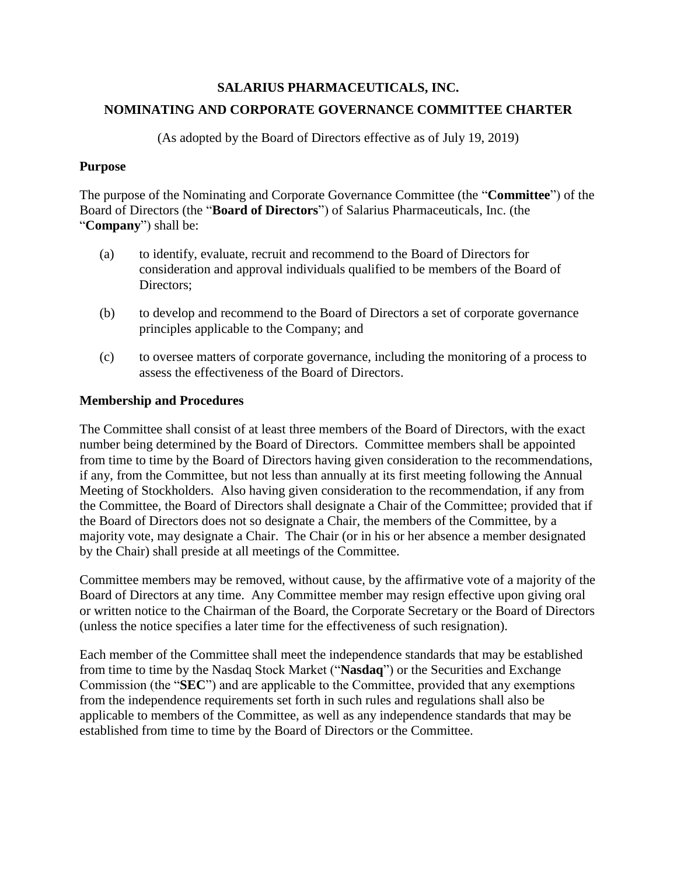# **SALARIUS PHARMACEUTICALS, INC. NOMINATING AND CORPORATE GOVERNANCE COMMITTEE CHARTER**

(As adopted by the Board of Directors effective as of July 19, 2019)

### **Purpose**

The purpose of the Nominating and Corporate Governance Committee (the "**Committee**") of the Board of Directors (the "**Board of Directors**") of Salarius Pharmaceuticals, Inc. (the "**Company**") shall be:

- (a) to identify, evaluate, recruit and recommend to the Board of Directors for consideration and approval individuals qualified to be members of the Board of Directors;
- (b) to develop and recommend to the Board of Directors a set of corporate governance principles applicable to the Company; and
- (c) to oversee matters of corporate governance, including the monitoring of a process to assess the effectiveness of the Board of Directors.

## **Membership and Procedures**

The Committee shall consist of at least three members of the Board of Directors, with the exact number being determined by the Board of Directors. Committee members shall be appointed from time to time by the Board of Directors having given consideration to the recommendations, if any, from the Committee, but not less than annually at its first meeting following the Annual Meeting of Stockholders. Also having given consideration to the recommendation, if any from the Committee, the Board of Directors shall designate a Chair of the Committee; provided that if the Board of Directors does not so designate a Chair, the members of the Committee, by a majority vote, may designate a Chair. The Chair (or in his or her absence a member designated by the Chair) shall preside at all meetings of the Committee.

Committee members may be removed, without cause, by the affirmative vote of a majority of the Board of Directors at any time. Any Committee member may resign effective upon giving oral or written notice to the Chairman of the Board, the Corporate Secretary or the Board of Directors (unless the notice specifies a later time for the effectiveness of such resignation).

Each member of the Committee shall meet the independence standards that may be established from time to time by the Nasdaq Stock Market ("**Nasdaq**") or the Securities and Exchange Commission (the "**SEC**") and are applicable to the Committee, provided that any exemptions from the independence requirements set forth in such rules and regulations shall also be applicable to members of the Committee, as well as any independence standards that may be established from time to time by the Board of Directors or the Committee.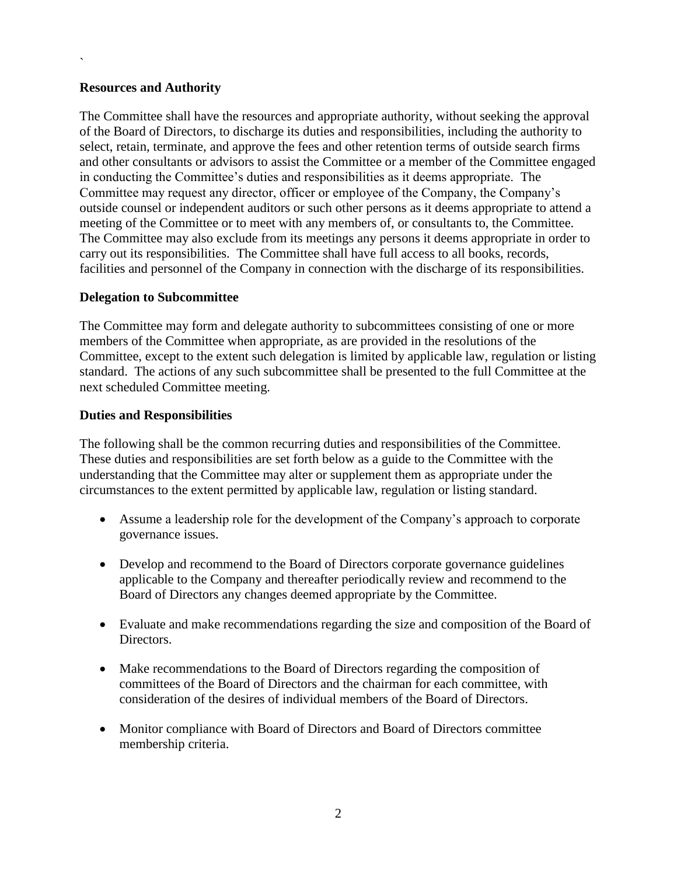### **Resources and Authority**

`

The Committee shall have the resources and appropriate authority, without seeking the approval of the Board of Directors, to discharge its duties and responsibilities, including the authority to select, retain, terminate, and approve the fees and other retention terms of outside search firms and other consultants or advisors to assist the Committee or a member of the Committee engaged in conducting the Committee's duties and responsibilities as it deems appropriate. The Committee may request any director, officer or employee of the Company, the Company's outside counsel or independent auditors or such other persons as it deems appropriate to attend a meeting of the Committee or to meet with any members of, or consultants to, the Committee. The Committee may also exclude from its meetings any persons it deems appropriate in order to carry out its responsibilities. The Committee shall have full access to all books, records, facilities and personnel of the Company in connection with the discharge of its responsibilities.

### **Delegation to Subcommittee**

The Committee may form and delegate authority to subcommittees consisting of one or more members of the Committee when appropriate, as are provided in the resolutions of the Committee, except to the extent such delegation is limited by applicable law, regulation or listing standard. The actions of any such subcommittee shall be presented to the full Committee at the next scheduled Committee meeting.

#### **Duties and Responsibilities**

The following shall be the common recurring duties and responsibilities of the Committee. These duties and responsibilities are set forth below as a guide to the Committee with the understanding that the Committee may alter or supplement them as appropriate under the circumstances to the extent permitted by applicable law, regulation or listing standard.

- Assume a leadership role for the development of the Company's approach to corporate governance issues.
- Develop and recommend to the Board of Directors corporate governance guidelines applicable to the Company and thereafter periodically review and recommend to the Board of Directors any changes deemed appropriate by the Committee.
- Evaluate and make recommendations regarding the size and composition of the Board of Directors.
- Make recommendations to the Board of Directors regarding the composition of committees of the Board of Directors and the chairman for each committee, with consideration of the desires of individual members of the Board of Directors.
- Monitor compliance with Board of Directors and Board of Directors committee membership criteria.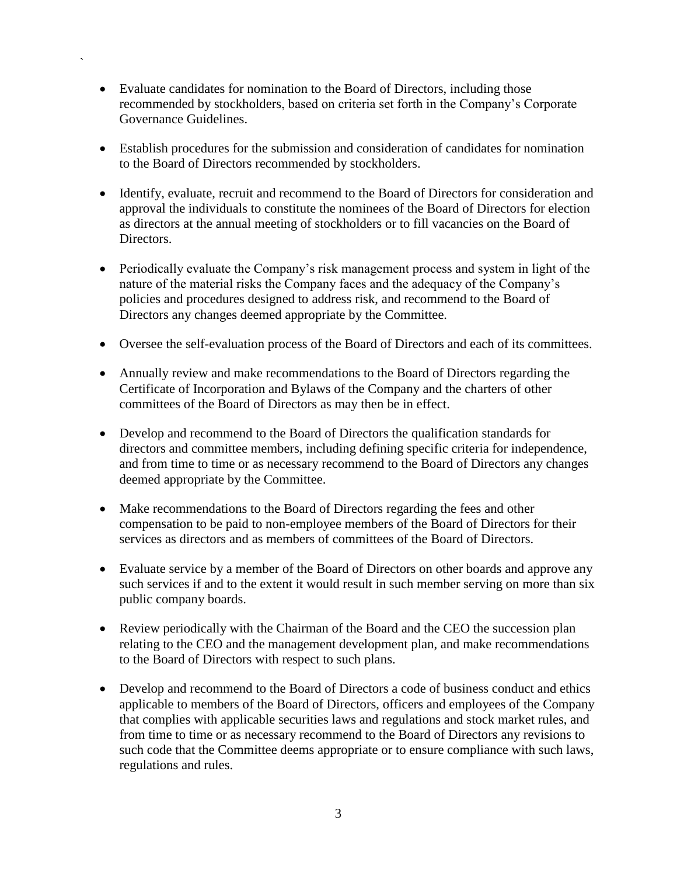• Evaluate candidates for nomination to the Board of Directors, including those recommended by stockholders, based on criteria set forth in the Company's Corporate Governance Guidelines.

`

- Establish procedures for the submission and consideration of candidates for nomination to the Board of Directors recommended by stockholders.
- Identify, evaluate, recruit and recommend to the Board of Directors for consideration and approval the individuals to constitute the nominees of the Board of Directors for election as directors at the annual meeting of stockholders or to fill vacancies on the Board of Directors.
- Periodically evaluate the Company's risk management process and system in light of the nature of the material risks the Company faces and the adequacy of the Company's policies and procedures designed to address risk, and recommend to the Board of Directors any changes deemed appropriate by the Committee.
- Oversee the self-evaluation process of the Board of Directors and each of its committees.
- Annually review and make recommendations to the Board of Directors regarding the Certificate of Incorporation and Bylaws of the Company and the charters of other committees of the Board of Directors as may then be in effect.
- Develop and recommend to the Board of Directors the qualification standards for directors and committee members, including defining specific criteria for independence, and from time to time or as necessary recommend to the Board of Directors any changes deemed appropriate by the Committee.
- Make recommendations to the Board of Directors regarding the fees and other compensation to be paid to non-employee members of the Board of Directors for their services as directors and as members of committees of the Board of Directors.
- Evaluate service by a member of the Board of Directors on other boards and approve any such services if and to the extent it would result in such member serving on more than six public company boards.
- Review periodically with the Chairman of the Board and the CEO the succession plan relating to the CEO and the management development plan, and make recommendations to the Board of Directors with respect to such plans.
- Develop and recommend to the Board of Directors a code of business conduct and ethics applicable to members of the Board of Directors, officers and employees of the Company that complies with applicable securities laws and regulations and stock market rules, and from time to time or as necessary recommend to the Board of Directors any revisions to such code that the Committee deems appropriate or to ensure compliance with such laws, regulations and rules.